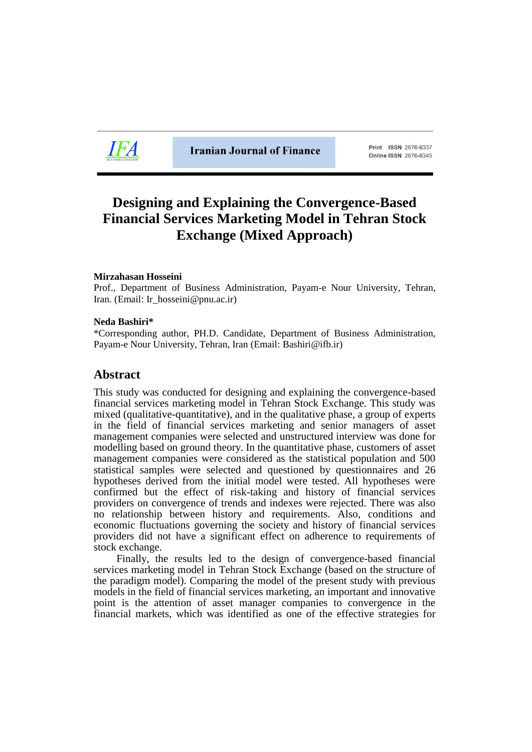

**Iranian Journal of Finance** 

Print ISSN 2676-6337 **Online ISSN 2676-6345** 

# **Designing and Explaining the Convergence-Based Financial Services Marketing Model in Tehran Stock Exchange (Mixed Approach)**

## **Mirzahasan Hosseini**

Prof., Department of Business Administration, Payam-e Nour University, Tehran, Iran. (Email: Ir\_hosseini@pnu.ac.ir)

## **Neda Bashiri\***

\*Corresponding author, PH.D. Candidate, Department of Business Administration, Payam-e Nour University, Tehran, Iran (Email: Bashiri@ifb.ir)

## **Abstract**

This study was conducted for designing and explaining the convergence-based financial services marketing model in Tehran Stock Exchange. This study was mixed (qualitative-quantitative), and in the qualitative phase, a group of experts in the field of financial services marketing and senior managers of asset management companies were selected and unstructured interview was done for modelling based on ground theory. In the quantitative phase, customers of asset management companies were considered as the statistical population and 500 statistical samples were selected and questioned by questionnaires and 26 hypotheses derived from the initial model were tested. All hypotheses were confirmed but the effect of risk-taking and history of financial services providers on convergence of trends and indexes were rejected. There was also no relationship between history and requirements. Also, conditions and economic fluctuations governing the society and history of financial services providers did not have a significant effect on adherence to requirements of stock exchange.

Finally, the results led to the design of convergence-based financial services marketing model in Tehran Stock Exchange (based on the structure of the paradigm model). Comparing the model of the present study with previous models in the field of financial services marketing, an important and innovative point is the attention of asset manager companies to convergence in the financial markets, which was identified as one of the effective strategies for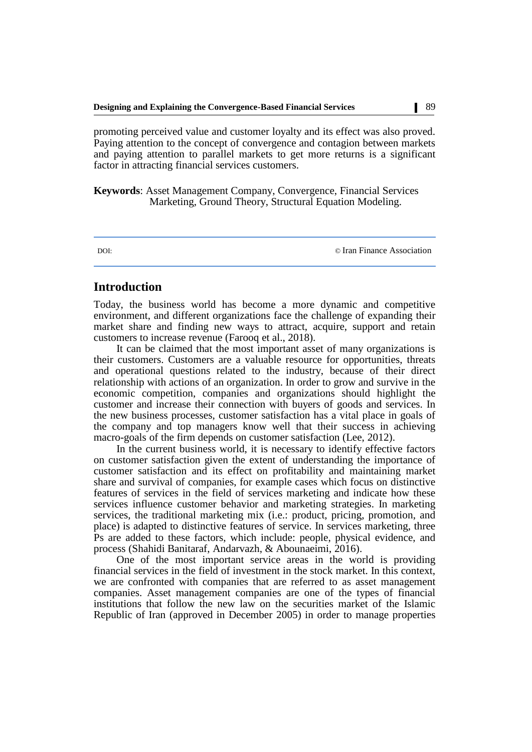promoting perceived value and customer loyalty and its effect was also proved. Paying attention to the concept of convergence and contagion between markets and paying attention to parallel markets to get more returns is a significant factor in attracting financial services customers.

**Keywords**: Asset Management Company, Convergence, Financial Services Marketing, Ground Theory, Structural Equation Modeling.

DOI: © [Iran Finance Association](http://ifsa.org.ir/)

## **Introduction**

Today, the business world has become a more dynamic and competitive environment, and different organizations face the challenge of expanding their market share and finding new ways to attract, acquire, support and retain customers to increase revenue (Farooq et al., 2018).

It can be claimed that the most important asset of many organizations is their customers. Customers are a valuable resource for opportunities, threats and operational questions related to the industry, because of their direct relationship with actions of an organization. In order to grow and survive in the economic competition, companies and organizations should highlight the customer and increase their connection with buyers of goods and services. In the new business processes, customer satisfaction has a vital place in goals of the company and top managers know well that their success in achieving macro-goals of the firm depends on customer satisfaction (Lee, 2012).

In the current business world, it is necessary to identify effective factors on customer satisfaction given the extent of understanding the importance of customer satisfaction and its effect on profitability and maintaining market share and survival of companies, for example cases which focus on distinctive features of services in the field of services marketing and indicate how these services influence customer behavior and marketing strategies. In marketing services, the traditional marketing mix (i.e.: product, pricing, promotion, and place) is adapted to distinctive features of service. In services marketing, three Ps are added to these factors, which include: people, physical evidence, and process (Shahidi Banitaraf, Andarvazh, & Abounaeimi, 2016).

One of the most important service areas in the world is providing financial services in the field of investment in the stock market. In this context, we are confronted with companies that are referred to as asset management companies. Asset management companies are one of the types of financial institutions that follow the new law on the securities market of the Islamic Republic of Iran (approved in December 2005) in order to manage properties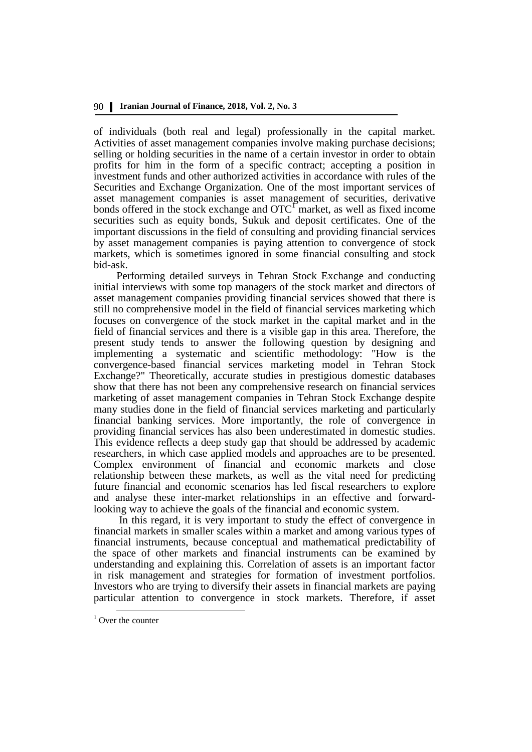of individuals (both real and legal) professionally in the capital market. Activities of asset management companies involve making purchase decisions; selling or holding securities in the name of a certain investor in order to obtain profits for him in the form of a specific contract; accepting a position in investment funds and other authorized activities in accordance with rules of the Securities and Exchange Organization. One of the most important services of asset management companies is asset management of securities, derivative bonds offered in the stock exchange and  $\mathrm{OTC}^{\Gamma}$  market, as well as fixed income securities such as equity bonds, Sukuk and deposit certificates. One of the important discussions in the field of consulting and providing financial services by asset management companies is paying attention to convergence of stock markets, which is sometimes ignored in some financial consulting and stock bid-ask.

Performing detailed surveys in Tehran Stock Exchange and conducting initial interviews with some top managers of the stock market and directors of asset management companies providing financial services showed that there is still no comprehensive model in the field of financial services marketing which focuses on convergence of the stock market in the capital market and in the field of financial services and there is a visible gap in this area. Therefore, the present study tends to answer the following question by designing and implementing a systematic and scientific methodology: "How is the convergence-based financial services marketing model in Tehran Stock Exchange?" Theoretically, accurate studies in prestigious domestic databases show that there has not been any comprehensive research on financial services marketing of asset management companies in Tehran Stock Exchange despite many studies done in the field of financial services marketing and particularly financial banking services. More importantly, the role of convergence in providing financial services has also been underestimated in domestic studies. This evidence reflects a deep study gap that should be addressed by academic researchers, in which case applied models and approaches are to be presented. Complex environment of financial and economic markets and close relationship between these markets, as well as the vital need for predicting future financial and economic scenarios has led fiscal researchers to explore and analyse these inter-market relationships in an effective and forwardlooking way to achieve the goals of the financial and economic system.

In this regard, it is very important to study the effect of convergence in financial markets in smaller scales within a market and among various types of financial instruments, because conceptual and mathematical predictability of the space of other markets and financial instruments can be examined by understanding and explaining this. Correlation of assets is an important factor in risk management and strategies for formation of investment portfolios. Investors who are trying to diversify their assets in financial markets are paying particular attention to convergence in stock markets. Therefore, if asset

<u>.</u>

 $1$  Over the counter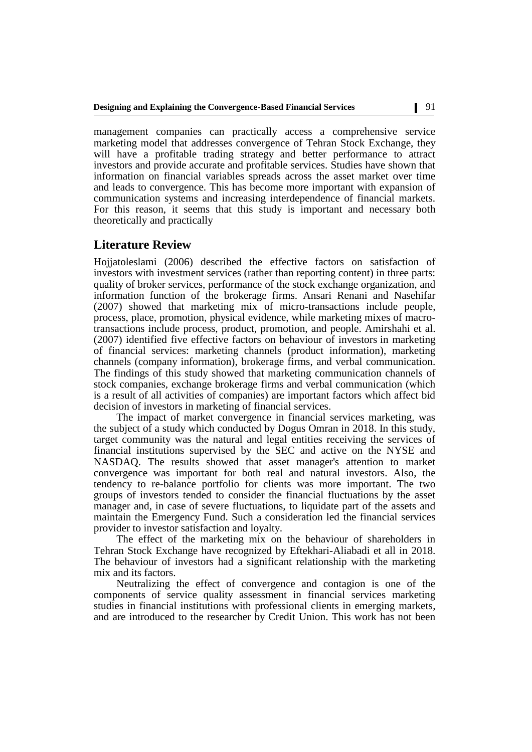management companies can practically access a comprehensive service marketing model that addresses convergence of Tehran Stock Exchange, they will have a profitable trading strategy and better performance to attract investors and provide accurate and profitable services. Studies have shown that information on financial variables spreads across the asset market over time and leads to convergence. This has become more important with expansion of communication systems and increasing interdependence of financial markets. For this reason, it seems that this study is important and necessary both theoretically and practically

## **Literature Review**

Hojjatoleslami (2006) described the effective factors on satisfaction of investors with investment services (rather than reporting content) in three parts: quality of broker services, performance of the stock exchange organization, and information function of the brokerage firms. Ansari Renani and Nasehifar (2007) showed that marketing mix of micro-transactions include people, process, place, promotion, physical evidence, while marketing mixes of macrotransactions include process, product, promotion, and people. Amirshahi et al. (2007) identified five effective factors on behaviour of investors in marketing of financial services: marketing channels (product information), marketing channels (company information), brokerage firms, and verbal communication. The findings of this study showed that marketing communication channels of stock companies, exchange brokerage firms and verbal communication (which is a result of all activities of companies) are important factors which affect bid decision of investors in marketing of financial services.

The impact of market convergence in financial services marketing, was the subject of a study which conducted by Dogus Omran in 2018. In this study, target community was the natural and legal entities receiving the services of financial institutions supervised by the SEC and active on the NYSE and NASDAQ. The results showed that asset manager's attention to market convergence was important for both real and natural investors. Also, the tendency to re-balance portfolio for clients was more important. The two groups of investors tended to consider the financial fluctuations by the asset manager and, in case of severe fluctuations, to liquidate part of the assets and maintain the Emergency Fund. Such a consideration led the financial services provider to investor satisfaction and loyalty.

The effect of the marketing mix on the behaviour of shareholders in Tehran Stock Exchange have recognized by Eftekhari-Aliabadi et all in 2018. The behaviour of investors had a significant relationship with the marketing mix and its factors.

Neutralizing the effect of convergence and contagion is one of the components of service quality assessment in financial services marketing studies in financial institutions with professional clients in emerging markets, and are introduced to the researcher by Credit Union. This work has not been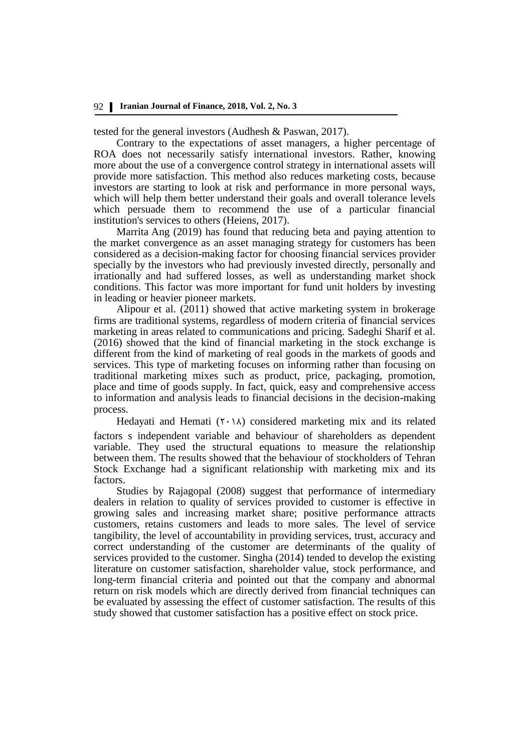tested for the general investors (Audhesh & Paswan, 2017).

Contrary to the expectations of asset managers, a higher percentage of ROA does not necessarily satisfy international investors. Rather, knowing more about the use of a convergence control strategy in international assets will provide more satisfaction. This method also reduces marketing costs, because investors are starting to look at risk and performance in more personal ways, which will help them better understand their goals and overall tolerance levels which persuade them to recommend the use of a particular financial institution's services to others [\(Heiens,](https://www.researchgate.net/profile/Richard_Heiens) 2017).

Marrita Ang (2019) has found that reducing beta and paying attention to the market convergence as an asset managing strategy for customers has been considered as a decision-making factor for choosing financial services provider specially by the investors who had previously invested directly, personally and irrationally and had suffered losses, as well as understanding market shock conditions. This factor was more important for fund unit holders by investing in leading or heavier pioneer markets.

Alipour et al. (2011) showed that active marketing system in brokerage firms are traditional systems, regardless of modern criteria of financial services marketing in areas related to communications and pricing. Sadeghi Sharif et al. (2016) showed that the kind of financial marketing in the stock exchange is different from the kind of marketing of real goods in the markets of goods and services. This type of marketing focuses on informing rather than focusing on traditional marketing mixes such as product, price, packaging, promotion, place and time of goods supply. In fact, quick, easy and comprehensive access to information and analysis leads to financial decisions in the decision-making process.

Hedayati and Hemati  $(Y \cdot \lambda)$  considered marketing mix and its related factors s independent variable and behaviour of shareholders as dependent variable. They used the structural equations to measure the relationship between them. The results showed that the behaviour of stockholders of Tehran Stock Exchange had a significant relationship with marketing mix and its factors.

Studies by Rajagopal (2008) suggest that performance of intermediary dealers in relation to quality of services provided to customer is effective in growing sales and increasing market share; positive performance attracts customers, retains customers and leads to more sales. The level of service tangibility, the level of accountability in providing services, trust, accuracy and correct understanding of the customer are determinants of the quality of services provided to the customer. Singha (2014) tended to develop the existing literature on customer satisfaction, shareholder value, stock performance, and long-term financial criteria and pointed out that the company and abnormal return on risk models which are directly derived from financial techniques can be evaluated by assessing the effect of customer satisfaction. The results of this study showed that customer satisfaction has a positive effect on stock price.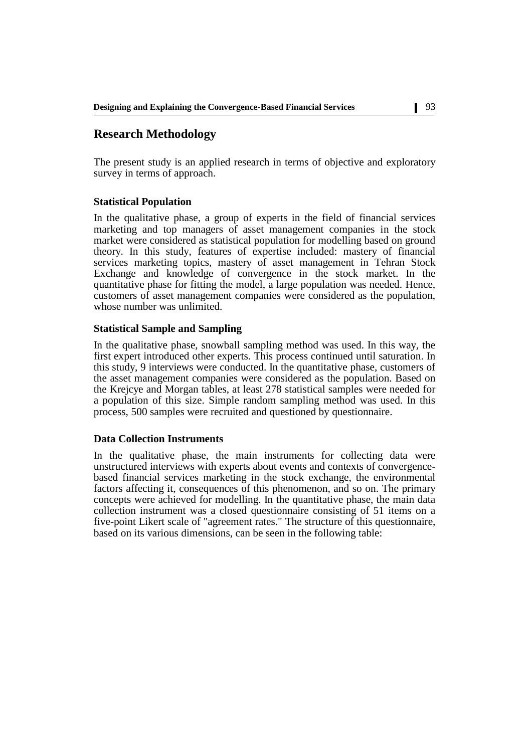## **Research Methodology**

The present study is an applied research in terms of objective and exploratory survey in terms of approach.

## **Statistical Population**

In the qualitative phase, a group of experts in the field of financial services marketing and top managers of asset management companies in the stock market were considered as statistical population for modelling based on ground theory. In this study, features of expertise included: mastery of financial services marketing topics, mastery of asset management in Tehran Stock Exchange and knowledge of convergence in the stock market. In the quantitative phase for fitting the model, a large population was needed. Hence, customers of asset management companies were considered as the population, whose number was unlimited.

## **Statistical Sample and Sampling**

In the qualitative phase, snowball sampling method was used. In this way, the first expert introduced other experts. This process continued until saturation. In this study, 9 interviews were conducted. In the quantitative phase, customers of the asset management companies were considered as the population. Based on the Krejcye and Morgan tables, at least 278 statistical samples were needed for a population of this size. Simple random sampling method was used. In this process, 500 samples were recruited and questioned by questionnaire.

## **Data Collection Instruments**

In the qualitative phase, the main instruments for collecting data were unstructured interviews with experts about events and contexts of convergencebased financial services marketing in the stock exchange, the environmental factors affecting it, consequences of this phenomenon, and so on. The primary concepts were achieved for modelling. In the quantitative phase, the main data collection instrument was a closed questionnaire consisting of 51 items on a five-point Likert scale of "agreement rates." The structure of this questionnaire, based on its various dimensions, can be seen in the following table: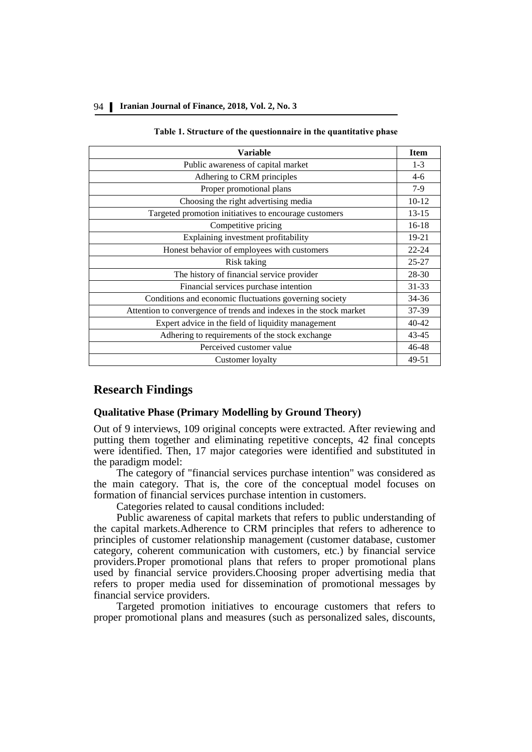### 94 **Iranian Journal of Finance, 2018, Vol. 2, No. 3**

#### **Table 1. Structure of the questionnaire in the quantitative phase**

| Variable                                                           | <b>Item</b> |
|--------------------------------------------------------------------|-------------|
| Public awareness of capital market                                 | $1 - 3$     |
| Adhering to CRM principles                                         | $4-6$       |
| Proper promotional plans                                           | $7-9$       |
| Choosing the right advertising media                               | $10-12$     |
| Targeted promotion initiatives to encourage customers              | $13 - 15$   |
| Competitive pricing                                                | $16-18$     |
| Explaining investment profitability                                | 19-21       |
| Honest behavior of employees with customers                        | $22 - 24$   |
| Risk taking                                                        | $25 - 27$   |
| The history of financial service provider                          | 28-30       |
| Financial services purchase intention                              | $31 - 33$   |
| Conditions and economic fluctuations governing society             | 34-36       |
| Attention to convergence of trends and indexes in the stock market | 37-39       |
| Expert advice in the field of liquidity management                 | $40 - 42$   |
| Adhering to requirements of the stock exchange                     | $43 - 45$   |
| Perceived customer value                                           | $46 - 48$   |
| Customer loyalty                                                   | 49-51       |

## **Research Findings**

## **Qualitative Phase (Primary Modelling by Ground Theory)**

Out of 9 interviews, 109 original concepts were extracted. After reviewing and putting them together and eliminating repetitive concepts, 42 final concepts were identified. Then, 17 major categories were identified and substituted in the paradigm model:

The category of "financial services purchase intention" was considered as the main category. That is, the core of the conceptual model focuses on formation of financial services purchase intention in customers.

Categories related to causal conditions included:

Public awareness of capital markets that refers to public understanding of the capital markets.Adherence to CRM principles that refers to adherence to principles of customer relationship management (customer database, customer category, coherent communication with customers, etc.) by financial service providers.Proper promotional plans that refers to proper promotional plans used by financial service providers.Choosing proper advertising media that refers to proper media used for dissemination of promotional messages by financial service providers.

Targeted promotion initiatives to encourage customers that refers to proper promotional plans and measures (such as personalized sales, discounts,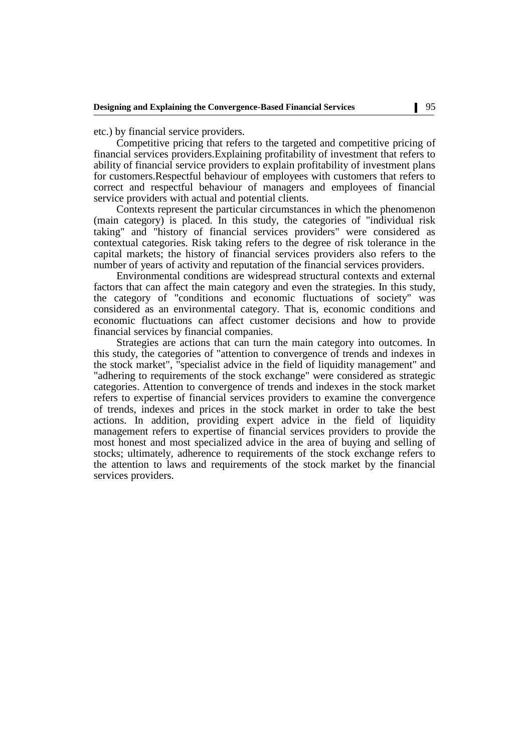etc.) by financial service providers.

Competitive pricing that refers to the targeted and competitive pricing of financial services providers.Explaining profitability of investment that refers to ability of financial service providers to explain profitability of investment plans for customers.Respectful behaviour of employees with customers that refers to correct and respectful behaviour of managers and employees of financial service providers with actual and potential clients.

Contexts represent the particular circumstances in which the phenomenon (main category) is placed. In this study, the categories of "individual risk taking" and "history of financial services providers" were considered as contextual categories. Risk taking refers to the degree of risk tolerance in the capital markets; the history of financial services providers also refers to the number of years of activity and reputation of the financial services providers.

Environmental conditions are widespread structural contexts and external factors that can affect the main category and even the strategies. In this study, the category of "conditions and economic fluctuations of society" was considered as an environmental category. That is, economic conditions and economic fluctuations can affect customer decisions and how to provide financial services by financial companies.

Strategies are actions that can turn the main category into outcomes. In this study, the categories of "attention to convergence of trends and indexes in the stock market", "specialist advice in the field of liquidity management" and "adhering to requirements of the stock exchange" were considered as strategic categories. Attention to convergence of trends and indexes in the stock market refers to expertise of financial services providers to examine the convergence of trends, indexes and prices in the stock market in order to take the best actions. In addition, providing expert advice in the field of liquidity management refers to expertise of financial services providers to provide the most honest and most specialized advice in the area of buying and selling of stocks; ultimately, adherence to requirements of the stock exchange refers to the attention to laws and requirements of the stock market by the financial services providers.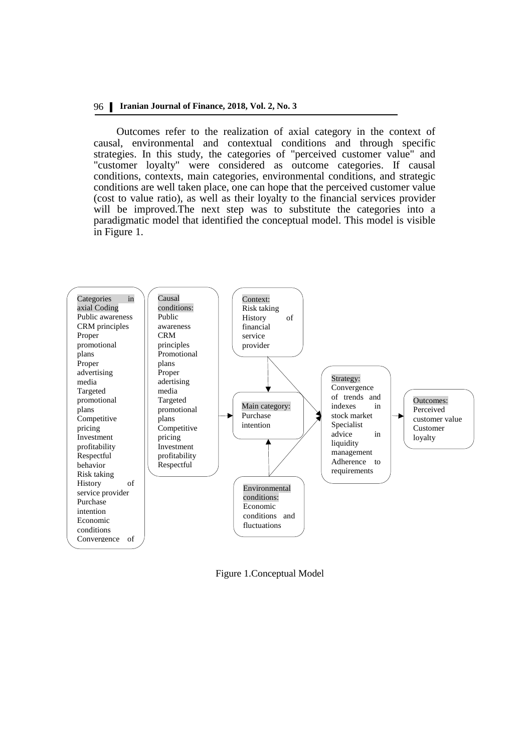## 96 **Iranian Journal of Finance, 2018, Vol. 2, No. 3**

Outcomes refer to the realization of axial category in the context of causal, environmental and contextual conditions and through specific strategies. In this study, the categories of "perceived customer value" and "customer loyalty" were considered as outcome categories. If causal conditions, contexts, main categories, environmental conditions, and strategic conditions are well taken place, one can hope that the perceived customer value (cost to value ratio), as well as their loyalty to the financial services provider will be improved.The next step was to substitute the categories into a paradigmatic model that identified the conceptual model. This model is visible in Figure 1.



Figure 1.Conceptual Model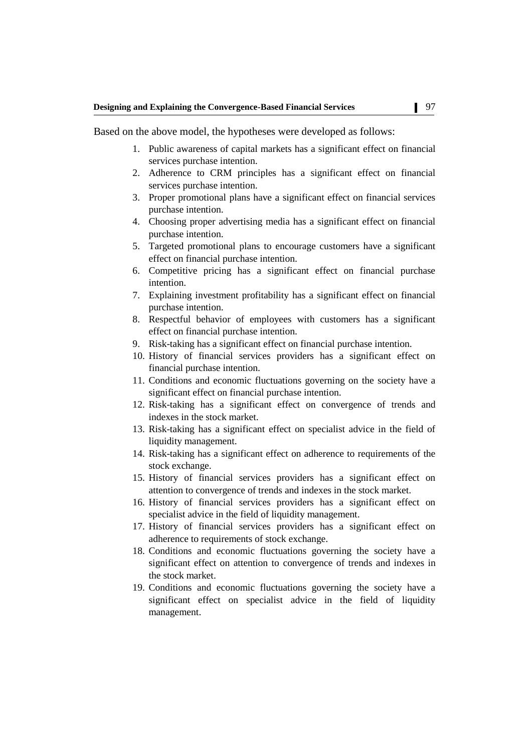Based on the above model, the hypotheses were developed as follows:

- 1. Public awareness of capital markets has a significant effect on financial services purchase intention.
- 2. Adherence to CRM principles has a significant effect on financial services purchase intention.
- 3. Proper promotional plans have a significant effect on financial services purchase intention.
- 4. Choosing proper advertising media has a significant effect on financial purchase intention.
- 5. Targeted promotional plans to encourage customers have a significant effect on financial purchase intention.
- 6. Competitive pricing has a significant effect on financial purchase intention.
- 7. Explaining investment profitability has a significant effect on financial purchase intention.
- 8. Respectful behavior of employees with customers has a significant effect on financial purchase intention.
- 9. Risk-taking has a significant effect on financial purchase intention.
- 10. History of financial services providers has a significant effect on financial purchase intention.
- 11. Conditions and economic fluctuations governing on the society have a significant effect on financial purchase intention.
- 12. Risk-taking has a significant effect on convergence of trends and indexes in the stock market.
- 13. Risk-taking has a significant effect on specialist advice in the field of liquidity management.
- 14. Risk-taking has a significant effect on adherence to requirements of the stock exchange.
- 15. History of financial services providers has a significant effect on attention to convergence of trends and indexes in the stock market.
- 16. History of financial services providers has a significant effect on specialist advice in the field of liquidity management.
- 17. History of financial services providers has a significant effect on adherence to requirements of stock exchange.
- 18. Conditions and economic fluctuations governing the society have a significant effect on attention to convergence of trends and indexes in the stock market.
- 19. Conditions and economic fluctuations governing the society have a significant effect on specialist advice in the field of liquidity management.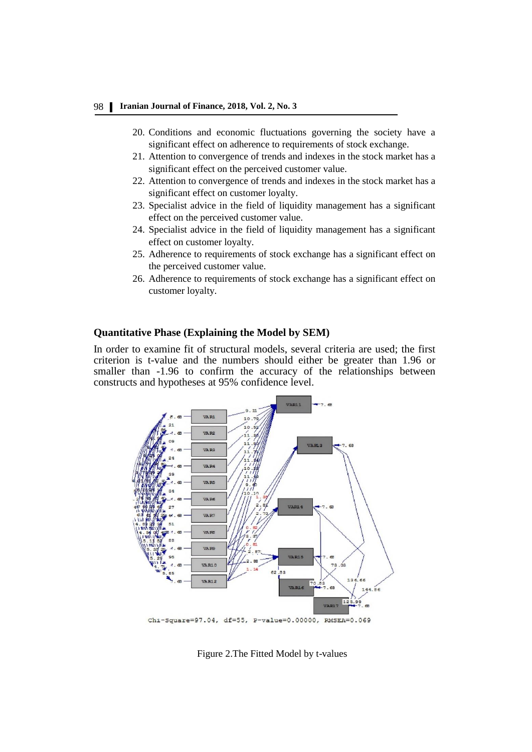## 98 **Iranian Journal of Finance, 2018, Vol. 2, No. 3**

- 20. Conditions and economic fluctuations governing the society have a significant effect on adherence to requirements of stock exchange.
- 21. Attention to convergence of trends and indexes in the stock market has a significant effect on the perceived customer value.
- 22. Attention to convergence of trends and indexes in the stock market has a significant effect on customer loyalty.
- 23. Specialist advice in the field of liquidity management has a significant effect on the perceived customer value.
- 24. Specialist advice in the field of liquidity management has a significant effect on customer loyalty.
- 25. Adherence to requirements of stock exchange has a significant effect on the perceived customer value.
- 26. Adherence to requirements of stock exchange has a significant effect on customer loyalty.

## **Quantitative Phase (Explaining the Model by SEM)**

In order to examine fit of structural models, several criteria are used; the first criterion is t-value and the numbers should either be greater than 1.96 or smaller than -1.96 to confirm the accuracy of the relationships between constructs and hypotheses at 95% confidence level.



Figure 2.The Fitted Model by t-values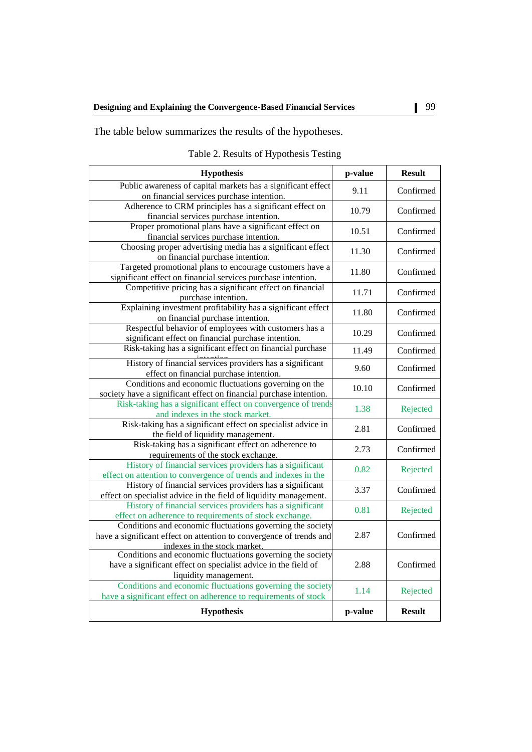The table below summarizes the results of the hypotheses.

| <b>Hypothesis</b>                                                                                                                                                 | p-value | <b>Result</b> |
|-------------------------------------------------------------------------------------------------------------------------------------------------------------------|---------|---------------|
| Public awareness of capital markets has a significant effect<br>on financial services purchase intention.                                                         | 9.11    | Confirmed     |
| Adherence to CRM principles has a significant effect on<br>financial services purchase intention.                                                                 | 10.79   | Confirmed     |
| Proper promotional plans have a significant effect on<br>financial services purchase intention.                                                                   | 10.51   | Confirmed     |
| Choosing proper advertising media has a significant effect<br>on financial purchase intention.                                                                    | 11.30   | Confirmed     |
| Targeted promotional plans to encourage customers have a<br>significant effect on financial services purchase intention.                                          | 11.80   | Confirmed     |
| Competitive pricing has a significant effect on financial<br>purchase intention.                                                                                  | 11.71   | Confirmed     |
| Explaining investment profitability has a significant effect<br>on financial purchase intention.                                                                  | 11.80   | Confirmed     |
| Respectful behavior of employees with customers has a<br>significant effect on financial purchase intention.                                                      | 10.29   | Confirmed     |
| Risk-taking has a significant effect on financial purchase                                                                                                        | 11.49   | Confirmed     |
| History of financial services providers has a significant<br>effect on financial purchase intention.                                                              | 9.60    | Confirmed     |
| Conditions and economic fluctuations governing on the<br>society have a significant effect on financial purchase intention.                                       | 10.10   | Confirmed     |
| Risk-taking has a significant effect on convergence of trends<br>and indexes in the stock market.                                                                 | 1.38    | Rejected      |
| Risk-taking has a significant effect on specialist advice in<br>the field of liquidity management.                                                                | 2.81    | Confirmed     |
| Risk-taking has a significant effect on adherence to<br>requirements of the stock exchange.                                                                       | 2.73    | Confirmed     |
| History of financial services providers has a significant<br>effect on attention to convergence of trends and indexes in the                                      | 0.82    | Rejected      |
| History of financial services providers has a significant<br>effect on specialist advice in the field of liquidity management.                                    | 3.37    | Confirmed     |
| History of financial services providers has a significant<br>effect on adherence to requirements of stock exchange.                                               | 0.81    | Rejected      |
| Conditions and economic fluctuations governing the society<br>have a significant effect on attention to convergence of trends and<br>indexes in the stock market. | 2.87    | Confirmed     |
| Conditions and economic fluctuations governing the society<br>have a significant effect on specialist advice in the field of<br>liquidity management.             | 2.88    | Confirmed     |
| Conditions and economic fluctuations governing the society<br>have a significant effect on adherence to requirements of stock                                     | 1.14    | Rejected      |
| <b>Hypothesis</b>                                                                                                                                                 | p-value | <b>Result</b> |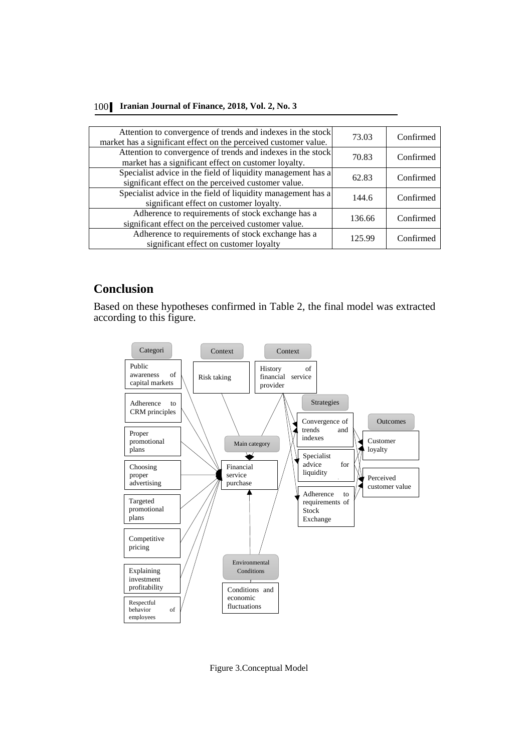|  | 100 Iranian Journal of Finance, 2018, Vol. 2, No. 3 |  |  |  |  |
|--|-----------------------------------------------------|--|--|--|--|
|--|-----------------------------------------------------|--|--|--|--|

| Attention to convergence of trends and indexes in the stock<br>market has a significant effect on the perceived customer value. | 73.03  | Confirmed |
|---------------------------------------------------------------------------------------------------------------------------------|--------|-----------|
| Attention to convergence of trends and indexes in the stock<br>market has a significant effect on customer loyalty.             | 70.83  | Confirmed |
| Specialist advice in the field of liquidity management has a<br>significant effect on the perceived customer value.             | 62.83  | Confirmed |
| Specialist advice in the field of liquidity management has a<br>significant effect on customer loyalty.                         | 144.6  | Confirmed |
| Adherence to requirements of stock exchange has a<br>significant effect on the perceived customer value.                        | 136.66 | Confirmed |
| Adherence to requirements of stock exchange has a<br>significant effect on customer loyalty                                     | 125.99 | Confirmed |

## **Conclusion**

Based on these hypotheses confirmed in Table 2, the final model was extracted according to this figure.



Figure 3.Conceptual Model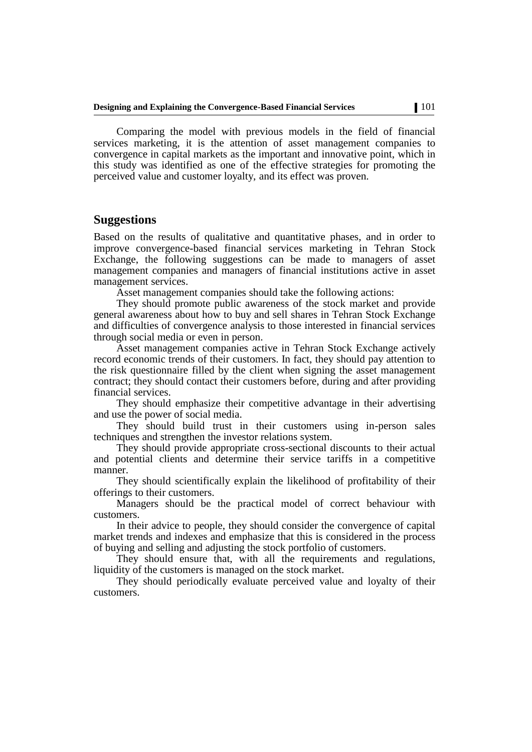Comparing the model with previous models in the field of financial services marketing, it is the attention of asset management companies to convergence in capital markets as the important and innovative point, which in this study was identified as one of the effective strategies for promoting the perceived value and customer loyalty, and its effect was proven.

## **Suggestions**

Based on the results of qualitative and quantitative phases, and in order to improve convergence-based financial services marketing in Tehran Stock Exchange, the following suggestions can be made to managers of asset management companies and managers of financial institutions active in asset management services.

Asset management companies should take the following actions:

They should promote public awareness of the stock market and provide general awareness about how to buy and sell shares in Tehran Stock Exchange and difficulties of convergence analysis to those interested in financial services through social media or even in person.

Asset management companies active in Tehran Stock Exchange actively record economic trends of their customers. In fact, they should pay attention to the risk questionnaire filled by the client when signing the asset management contract; they should contact their customers before, during and after providing financial services.

They should emphasize their competitive advantage in their advertising and use the power of social media.

They should build trust in their customers using in-person sales techniques and strengthen the investor relations system.

They should provide appropriate cross-sectional discounts to their actual and potential clients and determine their service tariffs in a competitive manner.

They should scientifically explain the likelihood of profitability of their offerings to their customers.

Managers should be the practical model of correct behaviour with customers.

In their advice to people, they should consider the convergence of capital market trends and indexes and emphasize that this is considered in the process of buying and selling and adjusting the stock portfolio of customers.

They should ensure that, with all the requirements and regulations, liquidity of the customers is managed on the stock market.

They should periodically evaluate perceived value and loyalty of their customers.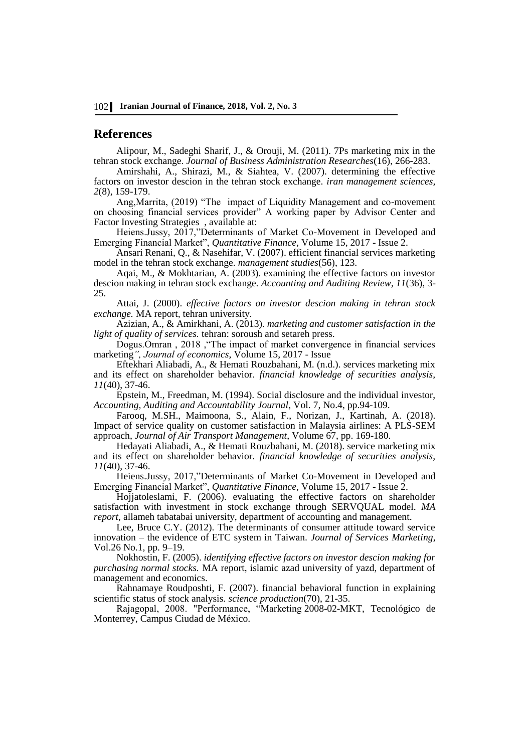## **References**

Alipour, M., Sadeghi Sharif, J., & Orouji, M. (2011). 7Ps marketing mix in the tehran stock exchange. *Journal of Business Administration Researches*(16), 266-283.

Amirshahi, A., Shirazi, M., & Siahtea, V. (2007). determining the effective factors on investor descion in the tehran stock exchange. *iran management sciences, 2*(8), 159-179.

Ang,Marrita, (2019) "The impact of Liquidity Management and co-movement on choosing financial services provider" A working paper by Advisor Center and Factor Investing Strategies , available at:

Heiens.Jussy, 2017,"Determinants of Market Co-Movement in Developed and Emerging Financial Market", *Quantitative Finance*, Volume 15, 2017 - Issue 2.

Ansari Renani, Q., & Nasehifar, V. (2007). efficient financial services marketing model in the tehran stock exchange. *management studies*(56), 123.

Aqai, M., & Mokhtarian, A. (2003). examining the effective factors on investor descion making in tehran stock exchange. *Accounting and Auditing Review, 11*(36), 3- 25.

Attai, J. (2000). *effective factors on investor descion making in tehran stock exchange.* MA report, tehran university.

Azizian, A., & Amirkhani, A. (2013). *marketing and customer satisfaction in the light of quality of services.* tehran: soroush and setareh press.

Dogus.Omran , 2018 ,"The impact of market convergence in financial services marketing*", Journal of economics*, Volume 15, 2017 - Issue

Eftekhari Aliabadi, A., & Hemati Rouzbahani, M. (n.d.). services marketing mix and its effect on shareholder behavior. *financial knowledge of securities analysis, 11*(40), 37-46.

Epstein, M., Freedman, M. (1994). Social disclosure and the individual investor, *Accounting, Auditing and Accountability Journal*, Vol. 7, No.4, pp.94-109.

[Farooq, M.SH., Maimoona, S., Alain, F., N](http://www.sciencedirect.com/science/article/pii/S0969699717304076#!)orizan, J., [Kartinah, A.](http://www.sciencedirect.com/science/article/pii/S0969699717304076#!) (2018). Impact of service quality on customer satisfaction in Malaysia airlines: A PLS-SEM approach, *Journal of Air Transport Management*, Volume 67, pp. 169-180.

Hedayati Aliabadi, A., & Hemati Rouzbahani, M. (2018). service marketing mix and its effect on shareholder behavior. *financial knowledge of securities analysis, 11*(40), 37-46.

[Heiens.](https://www.researchgate.net/profile/Richard_Heiens)Jussy, 2017,"Determinants of Market Co-Movement in Developed and Emerging Financial Market", *Quantitative Finance*, Volume 15, 2017 - Issue 2.

Hojjatoleslami, F. (2006). evaluating the effective factors on shareholder satisfaction with investment in stock exchange through SERVQUAL model. *MA report,* allameh tabatabai university, department of accounting and management.

Lee, Bruce C.Y. (2012). The determinants of consumer attitude toward service innovation – the evidence of ETC system in Taiwan. *Journal of Services Marketing*, Vol.26 No.1, pp. 9–19.

Nokhostin, F. (2005). *identifying effective factors on investor descion making for purchasing normal stocks.* MA report, islamic azad university of yazd, department of management and economics.

Rahnamaye Roudposhti, F. (2007). financial behavioral function in explaining scientific status of stock analysis. *science production*(70), 21-35.

Rajagopal, 2008. "Performance, "Marketing 2008-02-MKT, Tecnológico de Monterrey, Campus Ciudad de México.